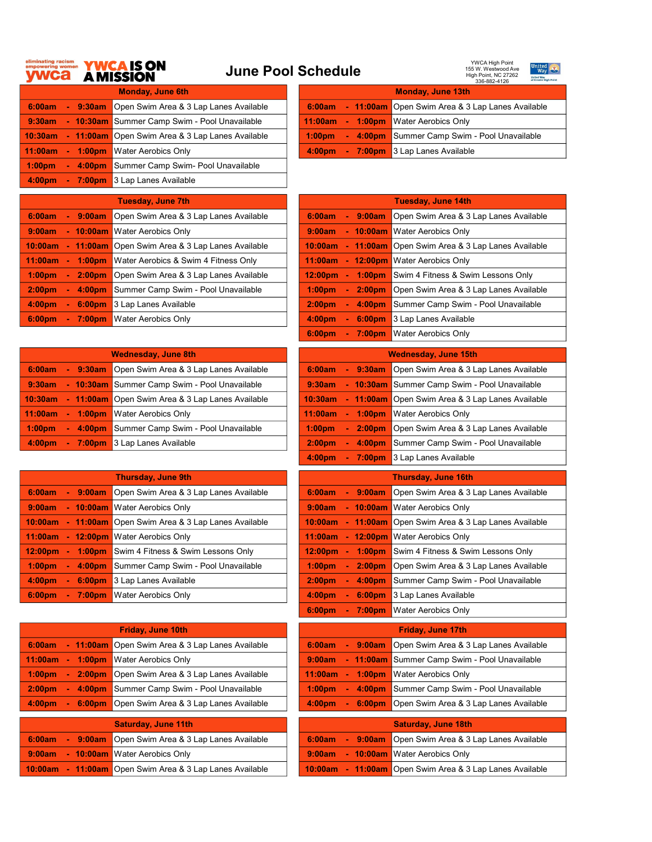## June Pool Schedule





| <b>Monday, June 6th</b> |                    |                                               |                    | <b>Monday, June 13th</b> |                             |                                                  |  |  |
|-------------------------|--------------------|-----------------------------------------------|--------------------|--------------------------|-----------------------------|--------------------------------------------------|--|--|
| 6:00am                  | 9:30am             | Open Swim Area & 3 Lap Lanes Available        | 6:00am             |                          |                             | - 11:00am Open Swim Area & 3 Lap Lanes Available |  |  |
| 9:30am                  |                    | - 10:30am Summer Camp Swim - Pool Unavailable | 11:00am            |                          | $1:00$ pm<br>r a            | <b>Water Aerobics Only</b>                       |  |  |
| 10:30am                 | $-11:00am$         | Open Swim Area & 3 Lap Lanes Available        | 1:00 <sub>pm</sub> |                          | 4:00 <sub>pm</sub><br>e e s | Summer Camp Swim - Pool Unavailable              |  |  |
| 11:00am                 | $-1:00 \text{pm}$  | <b>Water Aerobics Only</b>                    | 4:00 <sub>pm</sub> |                          | $\sim$                      | <b>7:00pm</b> 3 Lap Lanes Available              |  |  |
| 1:00 <sub>pm</sub>      | 4:00 <sub>pm</sub> | Summer Camp Swim- Pool Unavailable            |                    |                          |                             |                                                  |  |  |
| 4:00 <sub>pm</sub>      | 7:00pm             | 3 Lap Lanes Available                         |                    |                          |                             |                                                  |  |  |

| 21 V IV                                | of Greater High Point<br>336-882-4126                            |
|----------------------------------------|------------------------------------------------------------------|
| <b>Monday, June 6th</b>                | <b>Monday, June 13th</b>                                         |
| )pen Swim Area & 3 Lap Lanes Available | 6:00am - 11:00am Open Swim Area & 3 Lap Lanes Available          |
| ummer Camp Swim - Pool Unavailable     | 11:00am - 1:00pm Water Aerobics Only                             |
| )pen Swim Area & 3 Lap Lanes Available | - 4:00pm Summer Camp Swim - Pool Unavailable<br>$1:00 \text{pm}$ |
| Vater Aerobics Only                    | 4:00pm - 7:00pm 3 Lap Lanes Available                            |

| <b>Tuesday, June 7th</b>                 |                                                  |  |                     |                              | <b>Tuesday, June 14th</b>                        |
|------------------------------------------|--------------------------------------------------|--|---------------------|------------------------------|--------------------------------------------------|
| 6:00am<br>9:00am                         | Open Swim Area & 3 Lap Lanes Available           |  | 6:00am              | 9:00am<br>÷.                 | Open Swim Area & 3 Lap Lanes Available           |
| 9:00am<br>$-10:00am$                     | <b>N</b> Water Aerobics Only                     |  | 9:00am              |                              | - 10:00am Water Aerobics Only                    |
| 10:00am                                  | - 11:00am Open Swim Area & 3 Lap Lanes Available |  | 10:00am             |                              | - 11:00am Open Swim Area & 3 Lap Lanes Available |
| 11:00am<br>1:00 <sub>pm</sub>            | Water Aerobics & Swim 4 Fitness Only             |  | 11:00am             | $\sim$                       | 12:00pm Water Aerobics Only                      |
| 1:00 <sub>pm</sub><br>2:00 <sub>pm</sub> | Open Swim Area & 3 Lap Lanes Available           |  | 12:00 <sub>pm</sub> | 1:00 <sub>pm</sub><br>$\sim$ | Swim 4 Fitness & Swim Lessons Only               |
| 2:00 <sub>pm</sub><br>4:00 <sub>pm</sub> | Summer Camp Swim - Pool Unavailable              |  | $1:00$ pm           | 2:00 <sub>pm</sub><br>$\sim$ | Open Swim Area & 3 Lap Lanes Available           |
| 4:00 <sub>pm</sub><br>6:00 <sub>pm</sub> | 3 Lap Lanes Available                            |  | 2:00 <sub>pm</sub>  | 4:00 <sub>pm</sub><br>$\sim$ | Summer Camp Swim - Pool Unavailable              |
| 6:00 <sub>pm</sub><br>7:00 <sub>pm</sub> | <b>Water Aerobics Only</b>                       |  | 4:00 <sub>nm</sub>  | 6:00 <sub>pm</sub><br>$\sim$ | 3 Lap Lanes Available                            |

| <b>Wednesday, June 8th</b> |                    |                                                  | <b>Wednesday, June 15th</b> |        |                    |                                                  |  |
|----------------------------|--------------------|--------------------------------------------------|-----------------------------|--------|--------------------|--------------------------------------------------|--|
| 6:00am                     | $-9:30am$          | Open Swim Area & 3 Lap Lanes Available           | 6:00am                      |        | $-9:30am$          | Open Swim Area & 3 Lap Lanes Available           |  |
| 9:30am                     |                    | - 10:30am   Summer Camp Swim - Pool Unavailable  | 9:30am                      |        |                    | - 10:30am Summer Camp Swim - Pool Unavailable    |  |
| 10:30am                    |                    | - 11:00am Open Swim Area & 3 Lap Lanes Available | 10:30am                     |        |                    | - 11:00am Open Swim Area & 3 Lap Lanes Available |  |
| 11:00am                    | 1:00 <sub>pm</sub> | <b>Water Aerobics Only</b>                       | 11:00am                     |        |                    | - 1:00pm Water Aerobics Only                     |  |
| 1:00 <sub>pm</sub>         | 4:00 <sub>pm</sub> | Summer Camp Swim - Pool Unavailable              | 1:00 <sub>pm</sub>          | $\sim$ | 2:00 <sub>pm</sub> | Open Swim Area & 3 Lap Lanes Available           |  |
| 4:00 <sub>pm</sub>         | 7:00 <sub>pm</sub> | 3 Lap Lanes Available                            | 2:00 <sub>pm</sub>          | $\sim$ | 4:00 <sub>pm</sub> | Summer Camp Swim - Pool Unavailable              |  |

| <b>Thursday, June 9th</b>                                                       | <b>Thursday, June 16th</b>                                                            |
|---------------------------------------------------------------------------------|---------------------------------------------------------------------------------------|
| Open Swim Area & 3 Lap Lanes Available<br>6:00am<br>9:00am                      | Open Swim Area & 3 Lap Lanes Available<br>6:00am<br>9:00am<br>$\sim$                  |
| <b>Water Aerobics Only</b><br>9:00am<br>$-10:00am$                              | <b>Water Aerobics Only</b><br>10:00am<br>9:00am<br>$\sim$                             |
| Open Swim Area & 3 Lap Lanes Available<br>10:00am<br>$-11:00am$                 | Open Swim Area & 3 Lap Lanes Available<br>$-11:00am$<br>10:00am                       |
| $-12:00 \text{pm}$<br><b>Water Aerobics Only</b><br>11:00am                     | - 12:00pm Water Aerobics Only<br>11:00am                                              |
| Swim 4 Fitness & Swim Lessons Only<br>12:00 <sub>pm</sub><br>$1:00 \text{pm}$   | Swim 4 Fitness & Swim Lessons Only<br>12:00pm<br>$1:00 \text{pm}$<br>$\sim$           |
| 1:00 <sub>pm</sub><br>Summer Camp Swim - Pool Unavailable<br>4:00 <sub>pm</sub> | $1:00$ pm<br>Open Swim Area & 3 Lap Lanes Available<br>2:00 <sub>pm</sub><br>a.       |
| 4:00 <sub>pm</sub><br>3 Lap Lanes Available<br>6:00 <sub>pm</sub>               | Summer Camp Swim - Pool Unavailable<br>2:00 <sub>pm</sub><br>4:00 <sub>pm</sub><br>۰. |
| 6:00 <sub>pm</sub><br>Water Aerobics Only<br>$-7:00 \text{pm}$                  | 4:00 <sub>DP</sub><br>6:00 <sub>pm</sub><br>3 Lap Lanes Available<br>A.               |

| <b>Friday, June 10th</b>                                                           | <b>Friday, June 17th</b>                                                                  |
|------------------------------------------------------------------------------------|-------------------------------------------------------------------------------------------|
| Open Swim Area & 3 Lap Lanes Available<br>11:00am<br>6:00am                        | Open Swim Area & 3 Lap Lanes Available<br>6:00am<br>9:00am<br>$\sim$                      |
| <b>Water Aerobics Only</b><br>11:00am<br>$1:00$ pm                                 | Summer Camp Swim - Pool Unavailable<br>$-11:00am$<br>9:00am                               |
| Open Swim Area & 3 Lap Lanes Available<br>1:00 <sub>pm</sub><br>2:00 <sub>pm</sub> | <b>Water Aerobics Only</b><br>11:00am<br>1:00 <sub>pm</sub><br>$\sim$                     |
| Summer Camp Swim - Pool Unavailable<br>2:00 <sub>pm</sub><br>4:00 <sub>pm</sub>    | Summer Camp Swim - Pool Unavailable<br>1:00 <sub>pm</sub><br>4:00 <sub>pm</sub><br>$\sim$ |
| Open Swim Area & 3 Lap Lanes Available<br>4:00 <sub>pm</sub><br>6:00 <sub>pm</sub> | Open Swim Area & 3 Lap Lanes Available<br>4:00 <sub>pm</sub><br>6:00 <sub>pm</sub><br>÷.  |
|                                                                                    |                                                                                           |
| <b>Saturday, June 11th</b>                                                         | <b>Saturday, June 18th</b>                                                                |
| Open Swim Area & 3 Lap Lanes Available<br>6:00am<br>9:00am                         | Open Swim Area & 3 Lap Lanes Available<br>9:00am<br>6:00am<br>÷.                          |
| - 10:00am Water Aerobics Only<br>9:00am                                            | $-10:00am$<br><b>Water Aerobics Only</b><br>9:00am                                        |
| Open Swim Area & 3 Lap Lanes Available<br>10:00am<br>$-11:00am$                    | Open Swim Area & 3 Lap Lanes Available<br>$-11:00am$<br>10:00am                           |
|                                                                                    |                                                                                           |

|                     |                   | <u>Tuesday, June 14th</u>                        |
|---------------------|-------------------|--------------------------------------------------|
| 6:00am              | $-9:00am$         | Open Swim Area & 3 Lap Lanes Available           |
| 9:00am              |                   | - 10:00am Water Aerobics Only                    |
| 10:00am             |                   | - 11:00am Open Swim Area & 3 Lap Lanes Available |
| 11:00am             |                   | - 12:00pm Water Aerobics Only                    |
| 12:00 <sub>pm</sub> | $-1:00 \text{pm}$ | Swim 4 Fitness & Swim Lessons Only               |
| 1:00 <sub>pm</sub>  | $-2:00pm$         | Open Swim Area & 3 Lap Lanes Available           |
| 2:00 <sub>pm</sub>  | $-4:00pm$         | Summer Camp Swim - Pool Unavailable              |
| 4:00 <sub>pm</sub>  | $-6:00pm$         | 3 Lap Lanes Available                            |
| 6:00 <sub>pm</sub>  | $-7:00 \text{pm}$ | <b>Water Aerobics Only</b>                       |
|                     |                   |                                                  |

| Wednesday, June 8th                    | <b>Wednesday, June 15th</b>                                                        |
|----------------------------------------|------------------------------------------------------------------------------------|
| Open Swim Area & 3 Lap Lanes Available | Open Swim Area & 3 Lap Lanes Available<br>6:00am<br>9:30am<br>v.                   |
| Summer Camp Swim - Pool Unavailable    | - 10:30am Summer Camp Swim - Pool Unavailable<br>9:30am                            |
| Open Swim Area & 3 Lap Lanes Available | 10:30am<br>- 11:00am Open Swim Area & 3 Lap Lanes Available                        |
| <b>Water Aerobics Only</b>             | 11:00am<br><b>Water Aerobics Only</b><br>$1:00$ pm<br>╺                            |
| Summer Camp Swim - Pool Unavailable    | Open Swim Area & 3 Lap Lanes Available<br>1:00 <sub>pm</sub><br>2:00 <sub>pm</sub> |
| 3 Lap Lanes Available                  | Summer Camp Swim - Pool Unavailable<br>2:00 <sub>pm</sub><br>4:00 <sub>pm</sub>    |
|                                        | 4:00 <sub>nm</sub><br>3 Lap Lanes Available<br>$7:00 \text{pm}$                    |

| <b>Thursday, June 9th</b>              | <b>Thursday, June 16th</b>                                                              |
|----------------------------------------|-----------------------------------------------------------------------------------------|
| Open Swim Area & 3 Lap Lanes Available | Open Swim Area & 3 Lap Lanes Available<br>9:00am<br>6:00am<br>$\sim$                    |
| Water Aerobics Only                    | <b>Water Aerobics Only</b><br>9:00am<br>$-10:00am$                                      |
| Open Swim Area & 3 Lap Lanes Available | Open Swim Area & 3 Lap Lanes Available<br>10:00am<br>11:00am                            |
| Water Aerobics Only                    | 11:00am<br>$-12:00 \text{pm}$<br><b>Water Aerobics Only</b>                             |
| Swim 4 Fitness & Swim Lessons Only     | 12:00pm<br>1:00 <sub>pm</sub><br>Swim 4 Fitness & Swim Lessons Only<br>$\blacksquare$   |
| Summer Camp Swim - Pool Unavailable    | 1:00 <sub>pm</sub><br>Open Swim Area & 3 Lap Lanes Available<br>2:00 <sub>pm</sub><br>÷ |
| 3 Lap Lanes Available                  | 2:00 <sub>pm</sub><br>4:00pm<br>Summer Camp Swim - Pool Unavailable                     |
| Water Aerobics Only                    | 4:00pm<br>3 Lap Lanes Available<br>6:00pm                                               |
|                                        | 6:00pm<br>7:00 <sub>pm</sub><br><b>Water Aerobics Only</b>                              |
| <b>Friday, June 10th</b>               | <b>Friday, June 17th</b>                                                                |
|                                        |                                                                                         |
| Open Swim Area & 3 Lap Lanes Available | 6:00am<br>9:00am<br>Open Swim Area & 3 Lap Lanes Available                              |
| Water Aerobics Only                    | $-11:00am$<br>Summer Camp Swim - Pool Unavailable<br>9:00am                             |
| Open Swim Area & 3 Lap Lanes Available | <b>Water Aerobics Only</b><br>11:00am<br>1:00 <sub>pm</sub>                             |
| Summer Camp Swim - Pool Unavailable    | Summer Camp Swim - Pool Unavailable<br>1:00 <sub>pm</sub><br>4:00pm                     |
| Open Swim Area & 3 Lap Lanes Available | 4:00pm<br>6:00pm<br>Open Swim Area & 3 Lap Lanes Available                              |
|                                        |                                                                                         |
| <b>Saturday, June 11th</b>             | <b>Saturday, June 18th</b>                                                              |
| Open Swim Area & 3 Lap Lanes Available | Open Swim Area & 3 Lap Lanes Available<br>6:00am<br>9:00am                              |
| Water Aerobics Only                    | 9:00am<br>$-10:00am$<br><b>Water Aerobics Only</b>                                      |